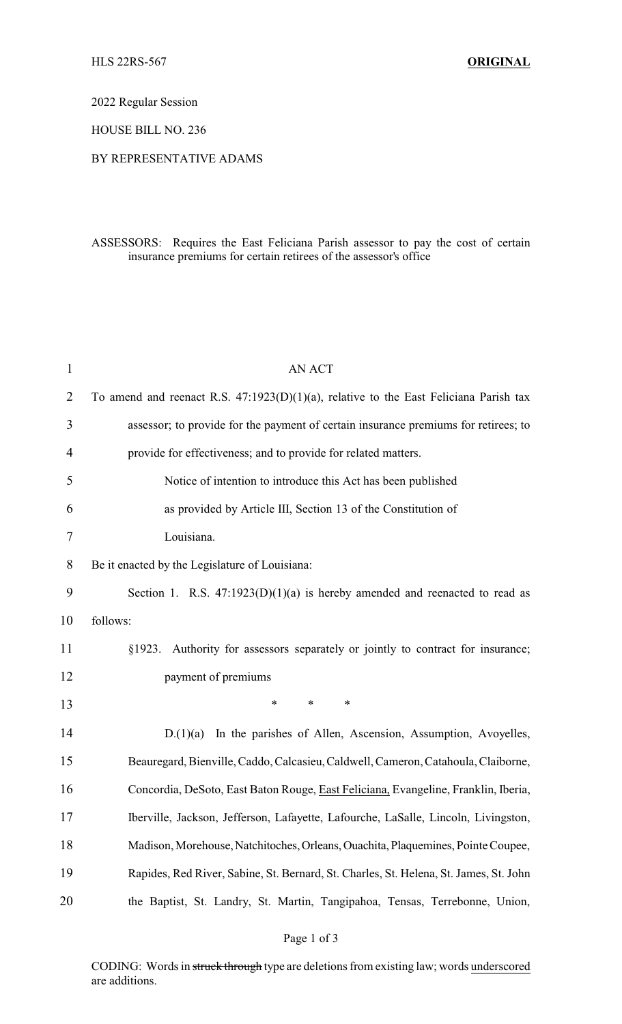2022 Regular Session

HOUSE BILL NO. 236

## BY REPRESENTATIVE ADAMS

## ASSESSORS: Requires the East Feliciana Parish assessor to pay the cost of certain insurance premiums for certain retirees of the assessor's office

| 1              | <b>AN ACT</b>                                                                            |
|----------------|------------------------------------------------------------------------------------------|
| $\overline{2}$ | To amend and reenact R.S. $47:1923(D)(1)(a)$ , relative to the East Feliciana Parish tax |
| 3              | assessor; to provide for the payment of certain insurance premiums for retirees; to      |
| 4              | provide for effectiveness; and to provide for related matters.                           |
| 5              | Notice of intention to introduce this Act has been published                             |
| 6              | as provided by Article III, Section 13 of the Constitution of                            |
| 7              | Louisiana.                                                                               |
| 8              | Be it enacted by the Legislature of Louisiana:                                           |
| 9              | Section 1. R.S. $47:1923(D)(1)(a)$ is hereby amended and reenacted to read as            |
| 10             | follows:                                                                                 |
| 11             | §1923. Authority for assessors separately or jointly to contract for insurance;          |
| 12             | payment of premiums                                                                      |
| 13             | $\ast$<br>$\ast$<br>∗                                                                    |
| 14             | D.(1)(a)<br>In the parishes of Allen, Ascension, Assumption, Avoyelles,                  |
| 15             | Beauregard, Bienville, Caddo, Calcasieu, Caldwell, Cameron, Catahoula, Claiborne,        |
| 16             | Concordia, DeSoto, East Baton Rouge, East Feliciana, Evangeline, Franklin, Iberia,       |
| 17             | Iberville, Jackson, Jefferson, Lafayette, Lafourche, LaSalle, Lincoln, Livingston,       |
| 18             | Madison, Morehouse, Natchitoches, Orleans, Ouachita, Plaquemines, Pointe Coupee,         |
| 19             | Rapides, Red River, Sabine, St. Bernard, St. Charles, St. Helena, St. James, St. John    |
| 20             | the Baptist, St. Landry, St. Martin, Tangipahoa, Tensas, Terrebonne, Union,              |
|                |                                                                                          |

CODING: Words in struck through type are deletions from existing law; words underscored are additions.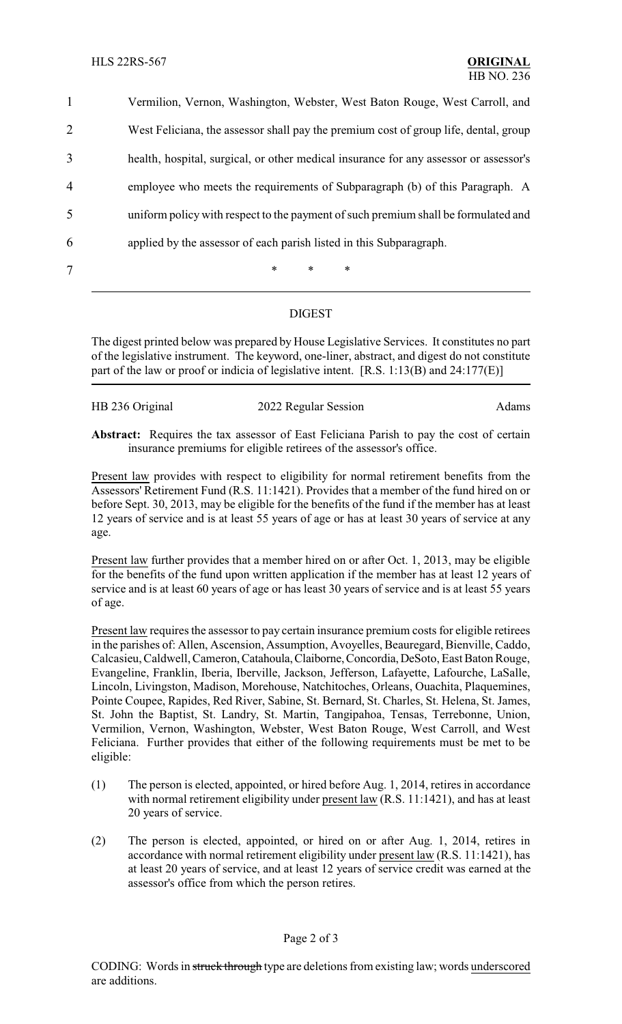Vermilion, Vernon, Washington, Webster, West Baton Rouge, West Carroll, and West Feliciana, the assessor shall pay the premium cost of group life, dental, group health, hospital, surgical, or other medical insurance for any assessor or assessor's employee who meets the requirements of Subparagraph (b) of this Paragraph. A uniform policy with respect to the payment of such premium shall be formulated and applied by the assessor of each parish listed in this Subparagraph. 7 \* \* \* \*

## DIGEST

The digest printed below was prepared by House Legislative Services. It constitutes no part of the legislative instrument. The keyword, one-liner, abstract, and digest do not constitute part of the law or proof or indicia of legislative intent. [R.S. 1:13(B) and 24:177(E)]

| HB 236 Original | 2022 Regular Session | Adams |
|-----------------|----------------------|-------|
|                 |                      |       |

**Abstract:** Requires the tax assessor of East Feliciana Parish to pay the cost of certain insurance premiums for eligible retirees of the assessor's office.

Present law provides with respect to eligibility for normal retirement benefits from the Assessors' Retirement Fund (R.S. 11:1421). Provides that a member of the fund hired on or before Sept. 30, 2013, may be eligible for the benefits of the fund if the member has at least 12 years of service and is at least 55 years of age or has at least 30 years of service at any age.

Present law further provides that a member hired on or after Oct. 1, 2013, may be eligible for the benefits of the fund upon written application if the member has at least 12 years of service and is at least 60 years of age or has least 30 years of service and is at least 55 years of age.

Present law requires the assessor to pay certain insurance premium costs for eligible retirees in the parishes of: Allen, Ascension, Assumption, Avoyelles, Beauregard, Bienville, Caddo, Calcasieu, Caldwell, Cameron,Catahoula,Claiborne,Concordia,DeSoto, East Baton Rouge, Evangeline, Franklin, Iberia, Iberville, Jackson, Jefferson, Lafayette, Lafourche, LaSalle, Lincoln, Livingston, Madison, Morehouse, Natchitoches, Orleans, Ouachita, Plaquemines, Pointe Coupee, Rapides, Red River, Sabine, St. Bernard, St. Charles, St. Helena, St. James, St. John the Baptist, St. Landry, St. Martin, Tangipahoa, Tensas, Terrebonne, Union, Vermilion, Vernon, Washington, Webster, West Baton Rouge, West Carroll, and West Feliciana. Further provides that either of the following requirements must be met to be eligible:

- (1) The person is elected, appointed, or hired before Aug. 1, 2014, retires in accordance with normal retirement eligibility under present law (R.S. 11:1421), and has at least 20 years of service.
- (2) The person is elected, appointed, or hired on or after Aug. 1, 2014, retires in accordance with normal retirement eligibility under present law (R.S. 11:1421), has at least 20 years of service, and at least 12 years of service credit was earned at the assessor's office from which the person retires.